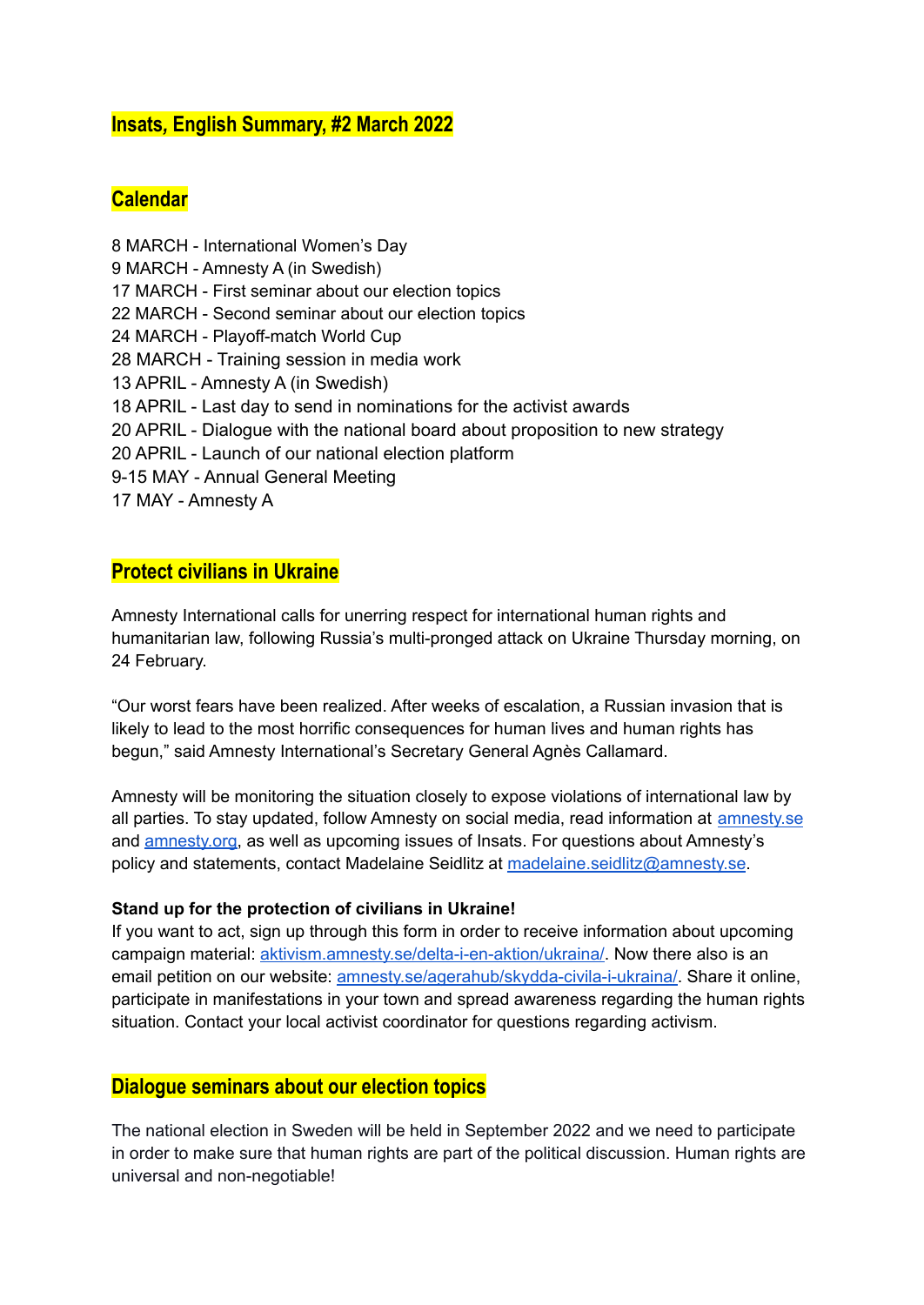### **Insats***,* **English Summary, #2 March 2022**

## **Calendar**

 MARCH - International Women's Day MARCH - Amnesty A (in Swedish) MARCH - First seminar about our election topics MARCH - Second seminar about our election topics MARCH - Playoff-match World Cup MARCH - Training session in media work APRIL - Amnesty A (in Swedish) APRIL - Last day to send in nominations for the activist awards APRIL - Dialogue with the national board about proposition to new strategy APRIL - Launch of our national election platform 9-15 MAY - Annual General Meeting MAY - Amnesty A

# **Protect civilians in Ukraine**

Amnesty International calls for unerring respect for international human rights and humanitarian law, following Russia's multi-pronged attack on Ukraine Thursday morning, on 24 February.

"Our worst fears have been realized. After weeks of escalation, a Russian invasion that is likely to lead to the most horrific consequences for human lives and human rights has begun," said Amnesty International's Secretary General Agnès Callamard.

Amnesty will be monitoring the situation closely to expose violations of international law by all parties. To stay updated, follow Amnesty on social media, read information at [amnesty.se](https://www.amnesty.se/) and [amnesty.org](https://www.amnesty.org/en/), as well as upcoming issues of Insats. For questions about Amnesty's policy and statements, contact Madelaine Seidlitz at [madelaine.seidlitz@amnesty.se](mailto:madelaine.seidlitz@amnesty.se).

#### **Stand up for the protection of civilians in Ukraine!**

If you want to act, sign up through this form in order to receive information about upcoming campaign material: [aktivism.amnesty.se/delta-i-en-aktion/ukraina/](https://aktivism.amnesty.se/delta-i-en-aktion/ukraina/). Now there also is an email petition on our website: [amnesty.se/agerahub/skydda-civila-i-ukraina/](https://www.amnesty.se/agerahub/skydda-civila-i-ukraina/). Share it online, participate in manifestations in your town and spread awareness regarding the human rights situation. Contact your local activist coordinator for questions regarding activism.

#### **Dialogue seminars about our election topics**

The national election in Sweden will be held in September 2022 and we need to participate in order to make sure that human rights are part of the political discussion. Human rights are universal and non-negotiable!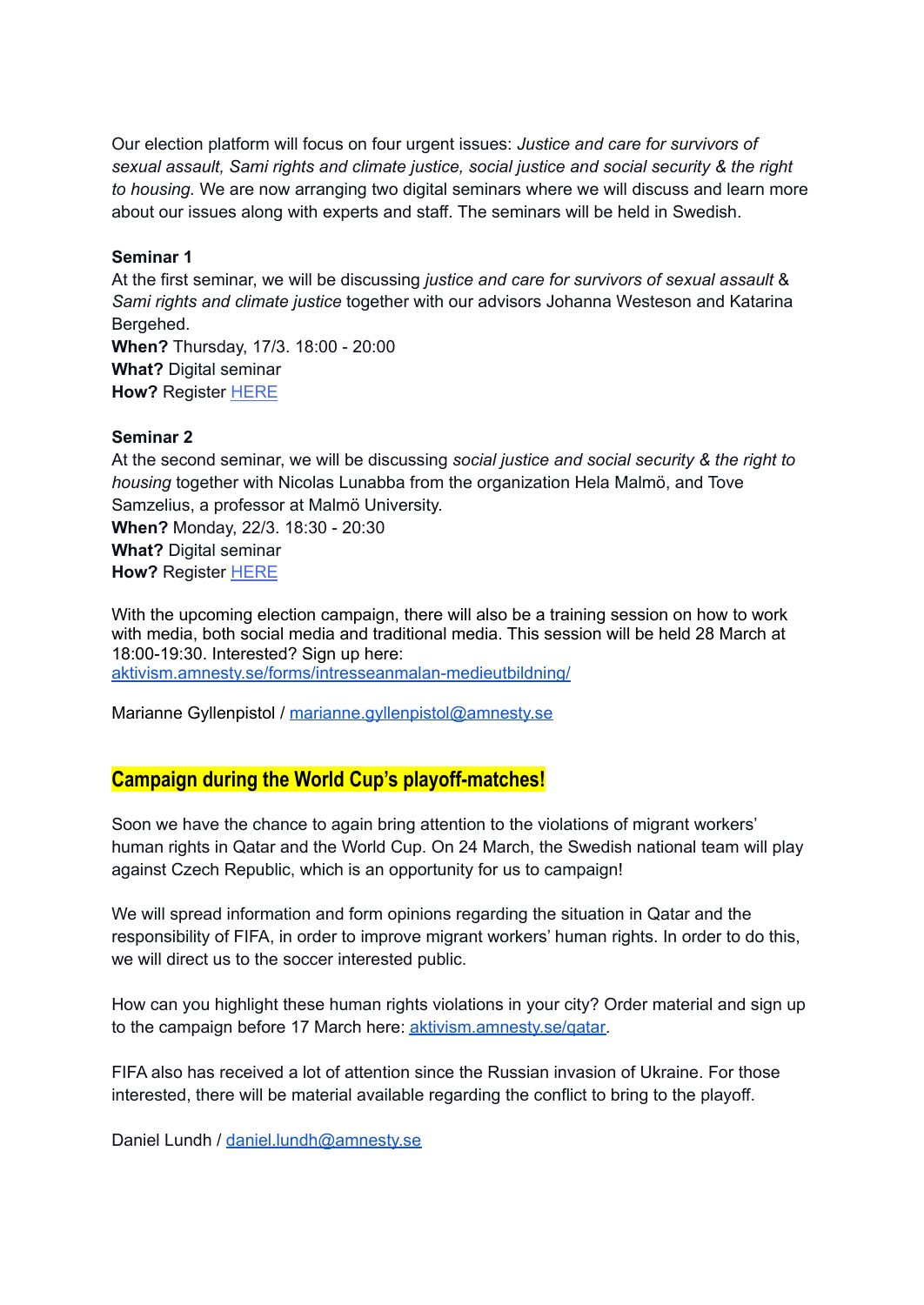Our election platform will focus on four urgent issues: *Justice and care for survivors of sexual assault, Sami rights and climate justice, social justice and social security & the right to housing.* We are now arranging two digital seminars where we will discuss and learn more about our issues along with experts and staff. The seminars will be held in Swedish.

#### **Seminar 1**

At the first seminar, we will be discussing *justice and care for survivors of sexual assault* & *Sami rights and climate justice* together with our advisors Johanna Westeson and Katarina Bergehed. **When?** Thursday, 17/3. 18:00 - 20:00 **What?** Digital seminar **How?** Register [HERE](https://aktivism.amnesty.se/forms/samtal-om-valplattformen-samtal-1/)

#### **Seminar 2**

At the second seminar, we will be discussing *social justice and social security & the right to housing* together with Nicolas Lunabba from the organization Hela Malmö, and Tove Samzelius, a professor at Malmö University. **When?** Monday, 22/3. 18:30 - 20:30

**What?** Digital seminar **How?** Register [HERE](https://aktivism.amnesty.se/forms/samtal-om-valplattformen-samtal-2/)

With the upcoming election campaign, there will also be a training session on how to work with media, both social media and traditional media. This session will be held 28 March at 18:00-19:30. Interested? Sign up here: [aktivism.amnesty.se/forms/intresseanmalan-medieutbildning/](https://aktivism.amnesty.se/forms/intresseanmalan-medieutbildning/)

Marianne Gyllenpistol / [marianne.gyllenpistol@amnesty.se](mailto:marianne.gyllenpistol@amnesty.se)

### **Campaign during the World Cup's playoff-matches!**

Soon we have the chance to again bring attention to the violations of migrant workers' human rights in Qatar and the World Cup. On 24 March, the Swedish national team will play against Czech Republic, which is an opportunity for us to campaign!

We will spread information and form opinions regarding the situation in Qatar and the responsibility of FIFA, in order to improve migrant workers' human rights. In order to do this, we will direct us to the soccer interested public.

How can you highlight these human rights violations in your city? Order material and sign up to the campaign before 17 March here: [aktivism.amnesty.se/qatar.](http://aktivism.amnesty.se/qatar)

FIFA also has received a lot of attention since the Russian invasion of Ukraine. For those interested, there will be material available regarding the conflict to bring to the playoff.

Daniel Lundh / [daniel.lundh@amnesty.se](mailto:daniel.lundh@amnesty.se)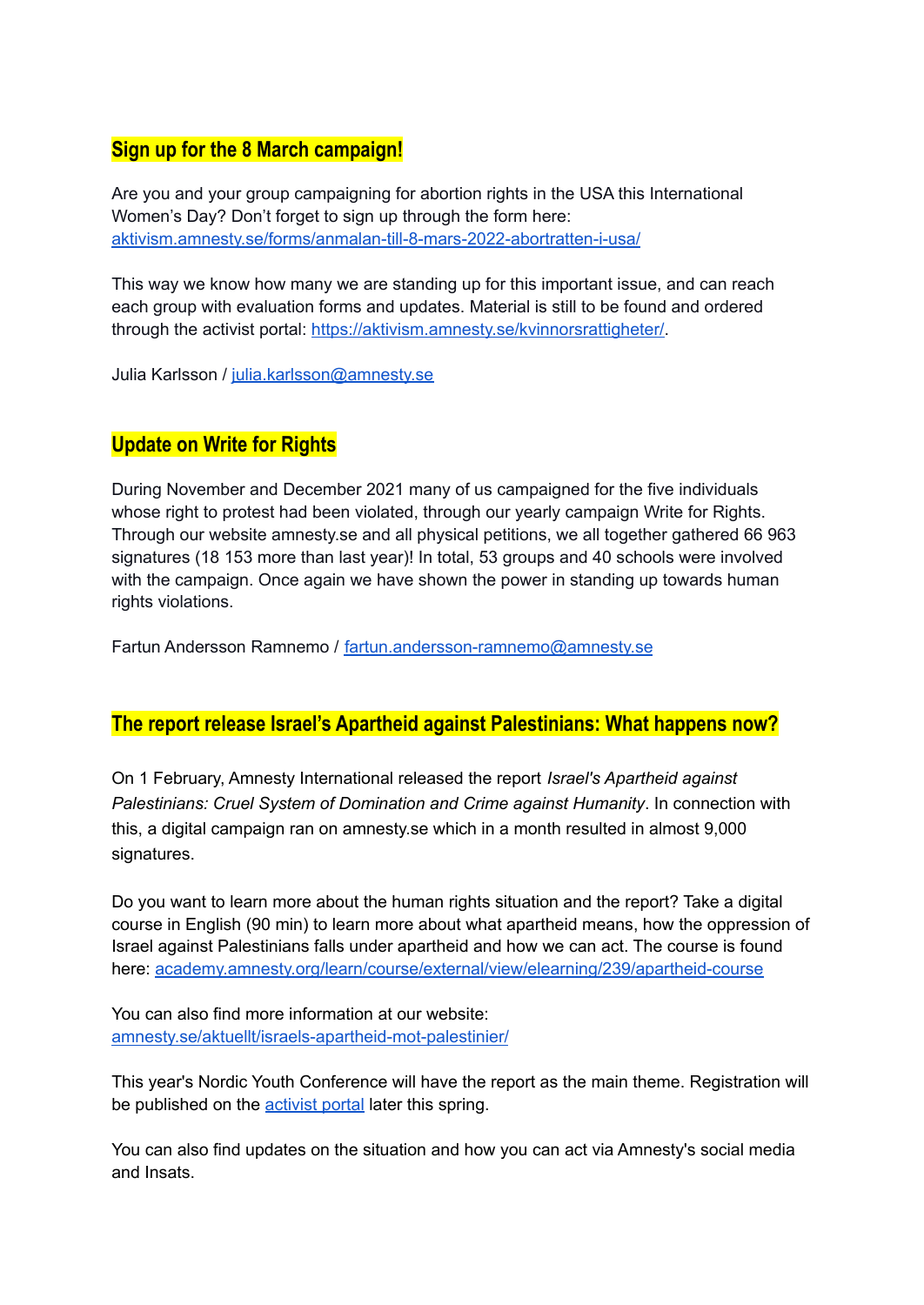# **Sign up for the 8 March campaign!**

Are you and your group campaigning for abortion rights in the USA this International Women's Day? Don't forget to sign up through the form here: [aktivism.amnesty.se/forms/anmalan-till-8-mars-2022-abortratten-i-usa/](https://aktivism.amnesty.se/forms/anmalan-till-8-mars-2022-abortratten-i-usa/)

This way we know how many we are standing up for this important issue, and can reach each group with evaluation forms and updates. Material is still to be found and ordered through the activist portal: [https://aktivism.amnesty.se/kvinnorsrattigheter/.](https://aktivism.amnesty.se/kvinnorsrattigheter/)

Julia Karlsson / [julia.karlsson@amnesty.se](mailto:julia.karlsson@amnesty.se)

# **Update on Write for Rights**

During November and December 2021 many of us campaigned for the five individuals whose right to protest had been violated, through our yearly campaign Write for Rights. Through our website amnesty.se and all physical petitions, we all together gathered 66 963 signatures (18 153 more than last year)! In total, 53 groups and 40 schools were involved with the campaign. Once again we have shown the power in standing up towards human rights violations.

Fartun Andersson Ramnemo / [fartun.andersson-ramnemo@amnesty.se](mailto:fartun.andersson-ramnemo@amnesty.se)

### **The report release Israel's Apartheid against Palestinians: What happens now?**

On 1 February, Amnesty International released the report *Israel's Apartheid against Palestinians: Cruel System of Domination and Crime against Humanity*. In connection with this, a digital campaign ran on amnesty.se which in a month resulted in almost 9,000 signatures.

Do you want to learn more about the human rights situation and the report? Take a digital course in English (90 min) to learn more about what apartheid means, how the oppression of Israel against Palestinians falls under apartheid and how we can act. The course is found here: [academy.amnesty.org/learn/course/external/view/elearning/239/apartheid-course](https://academy.amnesty.org/learn/course/external/view/elearning/239/apartheid-course)

You can also find more information at our website: [amnesty.se/aktuellt/israels-apartheid-mot-palestinier/](https://www.amnesty.se/aktuellt/israels-apartheid-mot-palestinier/)

This year's Nordic Youth Conference will have the report as the main theme. Registration will be published on the [activist](https://aktivism.amnesty.se/utbildningar-och-moten/ungdomstraffar/) portal later this spring.

You can also find updates on the situation and how you can act via Amnesty's social media and Insats.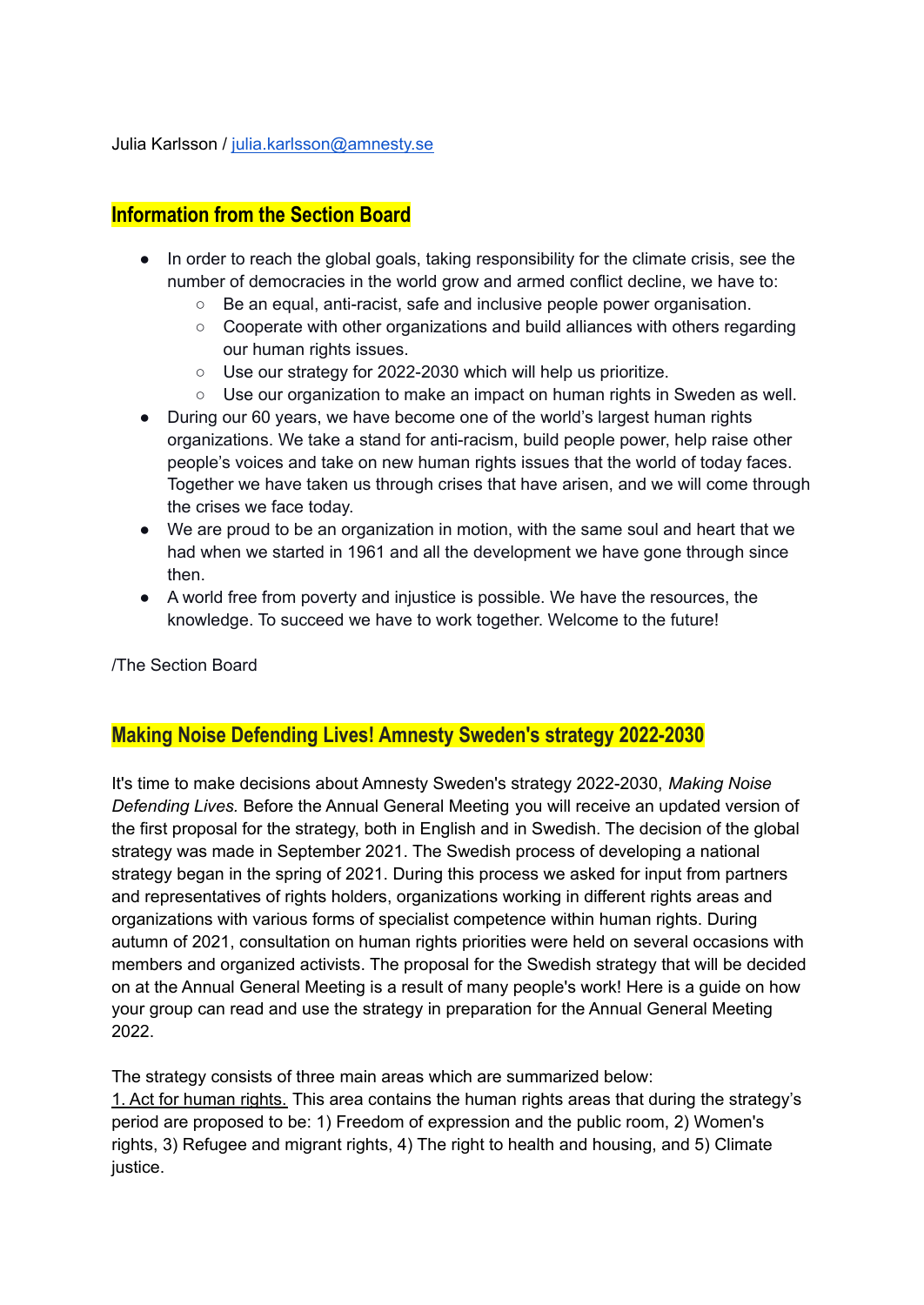Julia Karlsson / [julia.karlsson@amnesty.se](mailto:julia.karlsson@amnesty.se)

## **Information from the Section Board**

- In order to reach the global goals, taking responsibility for the climate crisis, see the number of democracies in the world grow and armed conflict decline, we have to:
	- Be an equal, anti-racist, safe and inclusive people power organisation.
	- Cooperate with other organizations and build alliances with others regarding our human rights issues.
	- Use our strategy for 2022-2030 which will help us prioritize.
	- Use our organization to make an impact on human rights in Sweden as well.
- During our 60 years, we have become one of the world's largest human rights organizations. We take a stand for anti-racism, build people power, help raise other people's voices and take on new human rights issues that the world of today faces. Together we have taken us through crises that have arisen, and we will come through the crises we face today.
- We are proud to be an organization in motion, with the same soul and heart that we had when we started in 1961 and all the development we have gone through since then.
- A world free from poverty and injustice is possible. We have the resources, the knowledge. To succeed we have to work together. Welcome to the future!

/The Section Board

### **Making Noise Defending Lives! Amnesty Sweden's strategy 2022-2030**

It's time to make decisions about Amnesty Sweden's strategy 2022-2030, *Making Noise Defending Lives.* Before the Annual General Meeting you will receive an updated version of the first proposal for the strategy, both in English and in Swedish. The decision of the global strategy was made in September 2021. The Swedish process of developing a national strategy began in the spring of 2021. During this process we asked for input from partners and representatives of rights holders, organizations working in different rights areas and organizations with various forms of specialist competence within human rights. During autumn of 2021, consultation on human rights priorities were held on several occasions with members and organized activists. The proposal for the Swedish strategy that will be decided on at the Annual General Meeting is a result of many people's work! Here is a guide on how your group can read and use the strategy in preparation for the Annual General Meeting 2022.

The strategy consists of three main areas which are summarized below: 1. Act for human rights. This area contains the human rights areas that during the strategy's period are proposed to be: 1) Freedom of expression and the public room, 2) Women's rights, 3) Refugee and migrant rights, 4) The right to health and housing, and 5) Climate justice.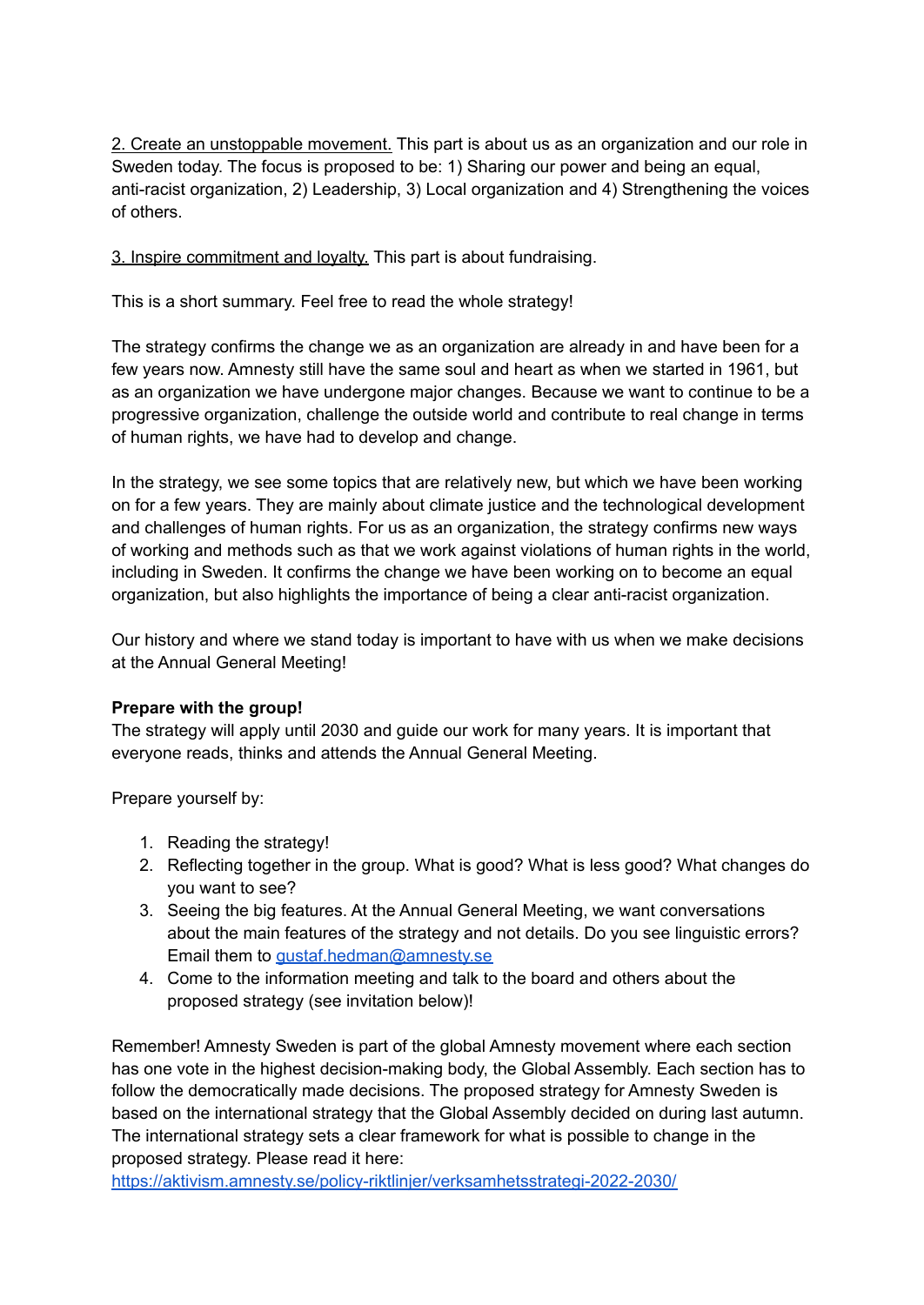2. Create an unstoppable movement. This part is about us as an organization and our role in Sweden today. The focus is proposed to be: 1) Sharing our power and being an equal, anti-racist organization, 2) Leadership, 3) Local organization and 4) Strengthening the voices of others.

3. Inspire commitment and loyalty. This part is about fundraising.

This is a short summary. Feel free to read the whole strategy!

The strategy confirms the change we as an organization are already in and have been for a few years now. Amnesty still have the same soul and heart as when we started in 1961, but as an organization we have undergone major changes. Because we want to continue to be a progressive organization, challenge the outside world and contribute to real change in terms of human rights, we have had to develop and change.

In the strategy, we see some topics that are relatively new, but which we have been working on for a few years. They are mainly about climate justice and the technological development and challenges of human rights. For us as an organization, the strategy confirms new ways of working and methods such as that we work against violations of human rights in the world, including in Sweden. It confirms the change we have been working on to become an equal organization, but also highlights the importance of being a clear anti-racist organization.

Our history and where we stand today is important to have with us when we make decisions at the Annual General Meeting!

#### **Prepare with the group!**

The strategy will apply until 2030 and guide our work for many years. It is important that everyone reads, thinks and attends the Annual General Meeting.

Prepare yourself by:

- 1. Reading the strategy!
- 2. Reflecting together in the group. What is good? What is less good? What changes do you want to see?
- 3. Seeing the big features. At the Annual General Meeting, we want conversations about the main features of the strategy and not details. Do you see linguistic errors? Email them to *[gustaf.hedman@amnesty.se](mailto:gustaf.hedman@amnesty.se)*
- 4. Come to the information meeting and talk to the board and others about the proposed strategy (see invitation below)!

Remember! Amnesty Sweden is part of the global Amnesty movement where each section has one vote in the highest decision-making body, the Global Assembly. Each section has to follow the democratically made decisions. The proposed strategy for Amnesty Sweden is based on the international strategy that the Global Assembly decided on during last autumn. The international strategy sets a clear framework for what is possible to change in the proposed strategy. Please read it here:

<https://aktivism.amnesty.se/policy-riktlinjer/verksamhetsstrategi-2022-2030/>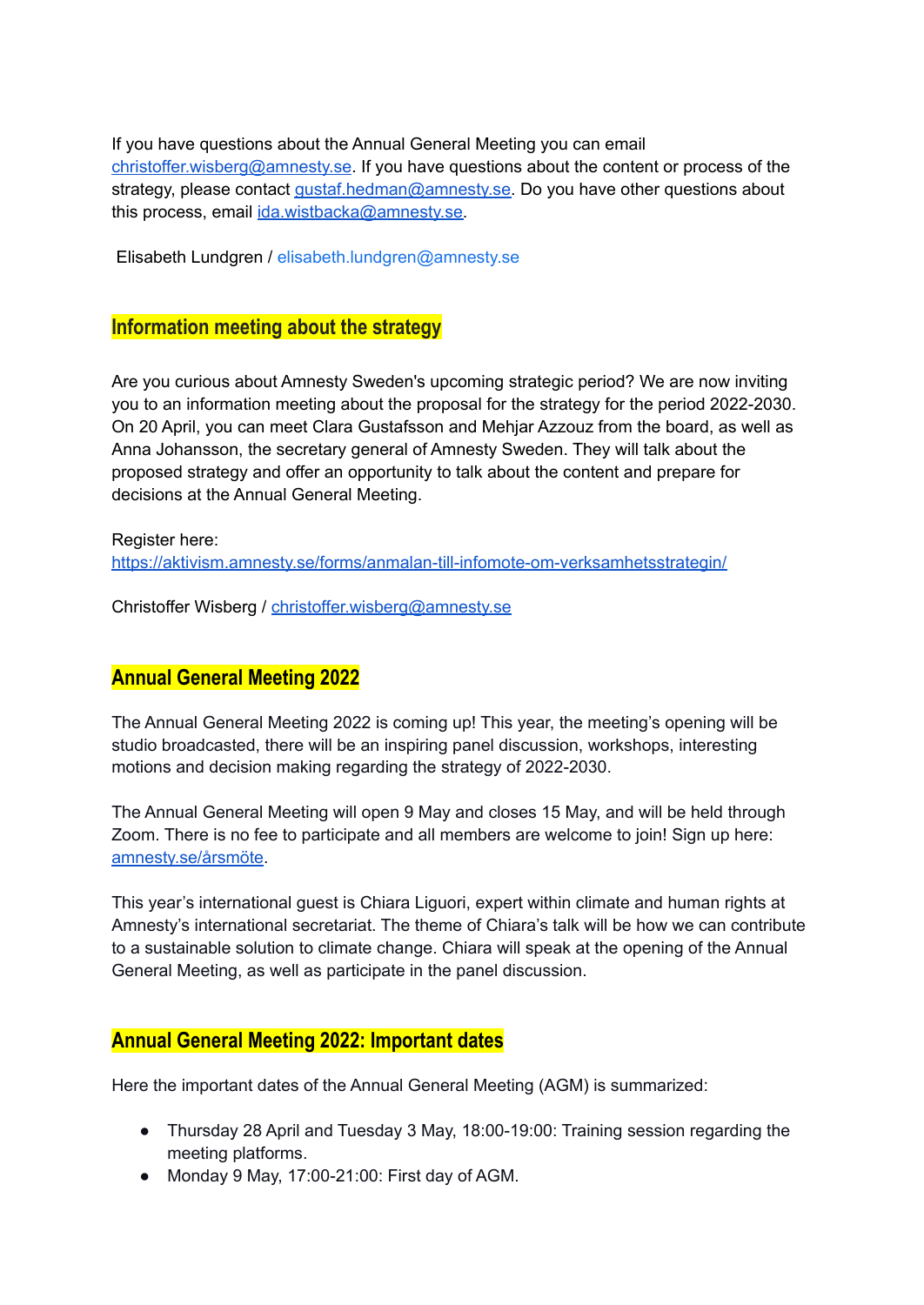If you have questions about the Annual General Meeting you can email [christoffer.wisberg@amnesty.se.](mailto:christoffer.wisberg@amnesty.se) If you have questions about the content or process of the strategy, please contact [gustaf.hedman@amnesty.se.](mailto:gustaf.hedman@amnesty.se) Do you have other questions about this process, email [ida.wistbacka@amnesty.se.](mailto:ida.wistbacka@amnesty.se)

Elisabeth Lundgren / elisabeth.lundgren@amnesty.se

#### **Information meeting about the strategy**

Are you curious about Amnesty Sweden's upcoming strategic period? We are now inviting you to an information meeting about the proposal for the strategy for the period 2022-2030. On 20 April, you can meet Clara Gustafsson and Mehjar Azzouz from the board, as well as Anna Johansson, the secretary general of Amnesty Sweden. They will talk about the proposed strategy and offer an opportunity to talk about the content and prepare for decisions at the Annual General Meeting.

Register here: <https://aktivism.amnesty.se/forms/anmalan-till-infomote-om-verksamhetsstrategin/>

Christoffer Wisberg / [christoffer.wisberg@amnesty.se](mailto:christoffer.wisberg@amnesty.se)

### **Annual General Meeting 2022**

The Annual General Meeting 2022 is coming up! This year, the meeting's opening will be studio broadcasted, there will be an inspiring panel discussion, workshops, interesting motions and decision making regarding the strategy of 2022-2030.

The Annual General Meeting will open 9 May and closes 15 May, and will be held through Zoom. There is no fee to participate and all members are welcome to join! Sign up here: [amnesty.se/årsmöte](http://amnesty.se/%C3%A5rsm%C3%B6te).

This year's international guest is Chiara Liguori, expert within climate and human rights at Amnesty's international secretariat. The theme of Chiara's talk will be how we can contribute to a sustainable solution to climate change. Chiara will speak at the opening of the Annual General Meeting, as well as participate in the panel discussion.

### **Annual General Meeting 2022: Important dates**

Here the important dates of the Annual General Meeting (AGM) is summarized:

- Thursday 28 April and Tuesday 3 May, 18:00-19:00: Training session regarding the meeting platforms.
- Monday 9 May, 17:00-21:00: First day of AGM.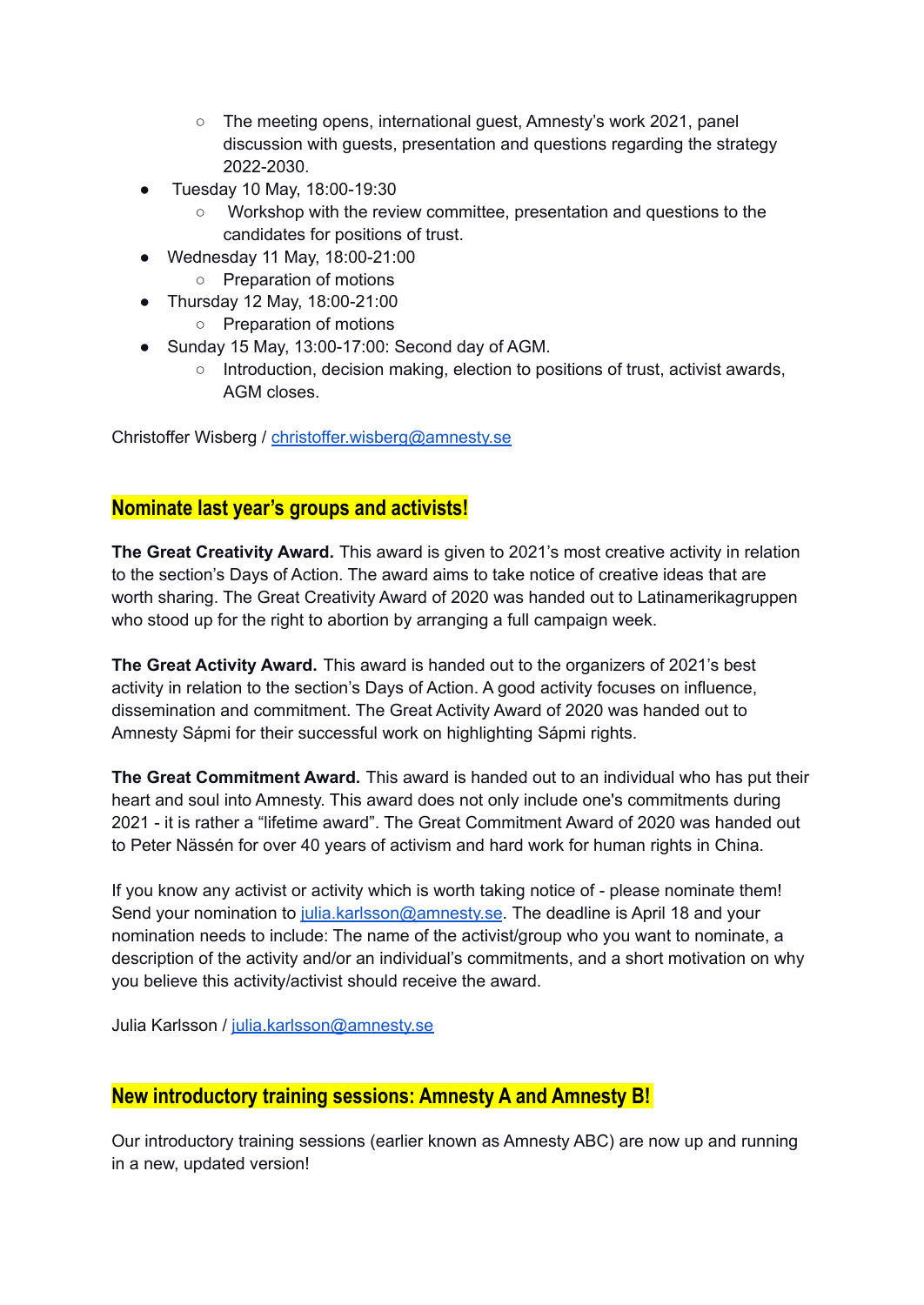- The meeting opens, international guest, Amnesty's work 2021, panel discussion with guests, presentation and questions regarding the strategy 2022-2030.
- Tuesday 10 May, 18:00-19:30
	- Workshop with the review committee, presentation and questions to the candidates for positions of trust.
- Wednesday 11 May, 18:00-21:00
	- Preparation of motions
- Thursday 12 May, 18:00-21:00
	- Preparation of motions
- Sunday 15 May, 13:00-17:00: Second day of AGM.
	- $\circ$  Introduction, decision making, election to positions of trust, activist awards, AGM closes.

Christoffer Wisberg / [christoffer.wisberg@amnesty.se](mailto:christoffer.wisberg@amnesty.se)

# **Nominate last year's groups and activists!**

**The Great Creativity Award.** This award is given to 2021's most creative activity in relation to the section's Days of Action. The award aims to take notice of creative ideas that are worth sharing. The Great Creativity Award of 2020 was handed out to Latinamerikagruppen who stood up for the right to abortion by arranging a full campaign week.

**The Great Activity Award.** This award is handed out to the organizers of 2021's best activity in relation to the section's Days of Action. A good activity focuses on influence, dissemination and commitment. The Great Activity Award of 2020 was handed out to Amnesty Sápmi for their successful work on highlighting Sápmi rights.

**The Great Commitment Award.** This award is handed out to an individual who has put their heart and soul into Amnesty. This award does not only include one's commitments during 2021 - it is rather a "lifetime award". The Great Commitment Award of 2020 was handed out to Peter Nässén for over 40 years of activism and hard work for human rights in China.

If you know any activist or activity which is worth taking notice of - please nominate them! Send your nomination to [julia.karlsson@amnesty.se](mailto:julia.karlsson@amnesty.se). The deadline is April 18 and your nomination needs to include: The name of the activist/group who you want to nominate, a description of the activity and/or an individual's commitments, and a short motivation on why you believe this activity/activist should receive the award.

Julia Karlsson / [julia.karlsson@amnesty.se](mailto:julia.karlsson@amnesty.se)

### **New introductory training sessions: Amnesty A and Amnesty B!**

Our introductory training sessions (earlier known as Amnesty ABC) are now up and running in a new, updated version!